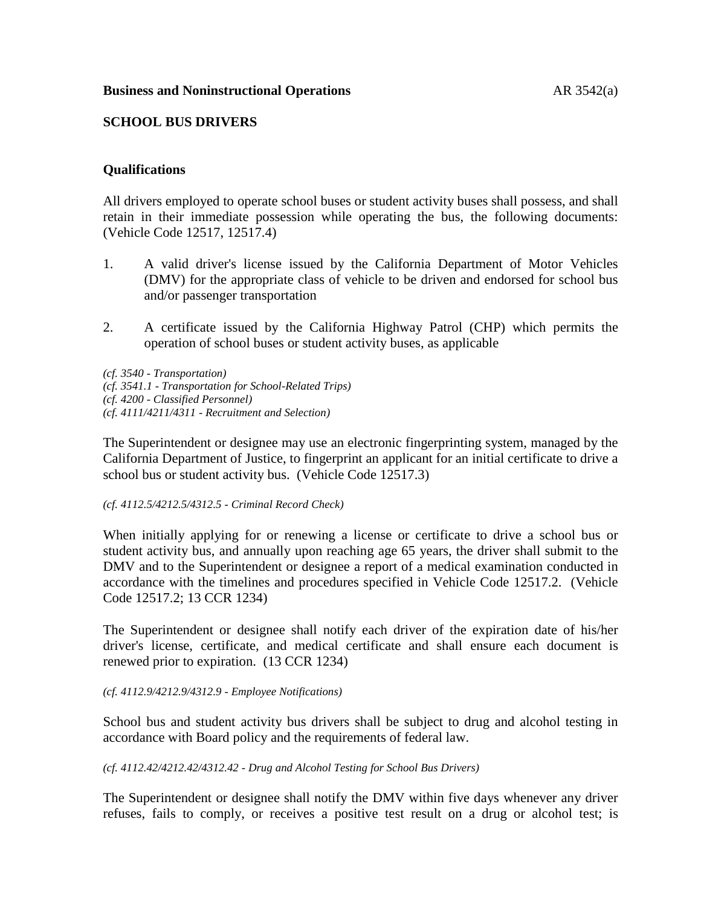#### **Business and Noninstructional Operations** AR 3542(a)

#### **SCHOOL BUS DRIVERS**

#### **Qualifications**

All drivers employed to operate school buses or student activity buses shall possess, and shall retain in their immediate possession while operating the bus, the following documents: (Vehicle Code 12517, 12517.4)

- 1. A valid driver's license issued by the California Department of Motor Vehicles (DMV) for the appropriate class of vehicle to be driven and endorsed for school bus and/or passenger transportation
- 2. A certificate issued by the California Highway Patrol (CHP) which permits the operation of school buses or student activity buses, as applicable

*(cf. 3540 - Transportation) (cf. 3541.1 - Transportation for School-Related Trips) (cf. 4200 - Classified Personnel) (cf. 4111/4211/4311 - Recruitment and Selection)*

The Superintendent or designee may use an electronic fingerprinting system, managed by the California Department of Justice, to fingerprint an applicant for an initial certificate to drive a school bus or student activity bus. (Vehicle Code 12517.3)

*(cf. 4112.5/4212.5/4312.5 - Criminal Record Check)*

When initially applying for or renewing a license or certificate to drive a school bus or student activity bus, and annually upon reaching age 65 years, the driver shall submit to the DMV and to the Superintendent or designee a report of a medical examination conducted in accordance with the timelines and procedures specified in Vehicle Code 12517.2. (Vehicle Code 12517.2; 13 CCR 1234)

The Superintendent or designee shall notify each driver of the expiration date of his/her driver's license, certificate, and medical certificate and shall ensure each document is renewed prior to expiration. (13 CCR 1234)

#### *(cf. 4112.9/4212.9/4312.9 - Employee Notifications)*

School bus and student activity bus drivers shall be subject to drug and alcohol testing in accordance with Board policy and the requirements of federal law.

#### *(cf. 4112.42/4212.42/4312.42 - Drug and Alcohol Testing for School Bus Drivers)*

The Superintendent or designee shall notify the DMV within five days whenever any driver refuses, fails to comply, or receives a positive test result on a drug or alcohol test; is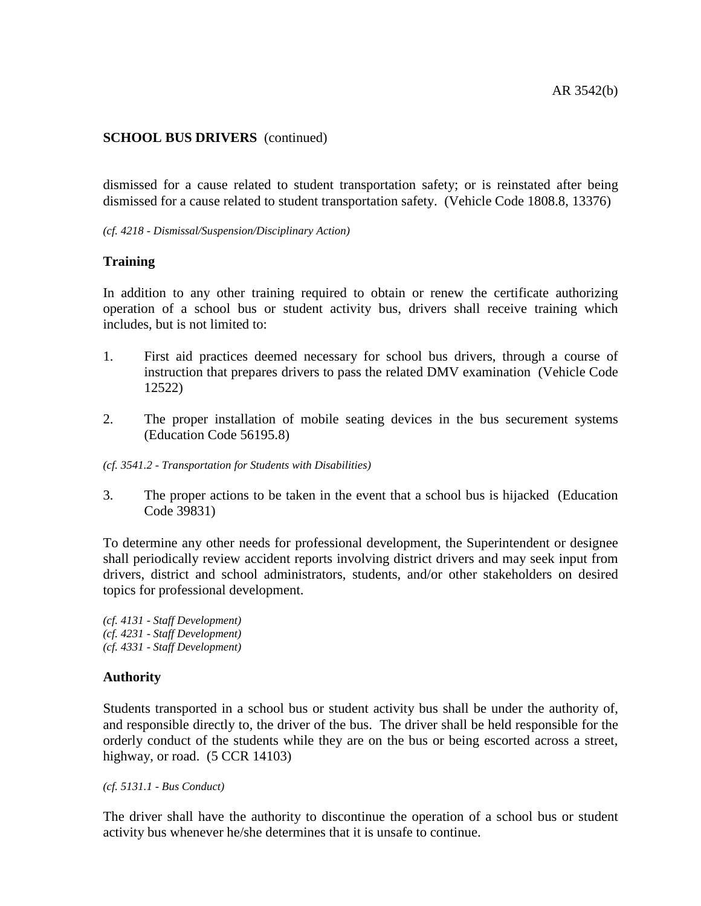dismissed for a cause related to student transportation safety; or is reinstated after being dismissed for a cause related to student transportation safety. (Vehicle Code 1808.8, 13376)

*(cf. 4218 - Dismissal/Suspension/Disciplinary Action)*

## **Training**

In addition to any other training required to obtain or renew the certificate authorizing operation of a school bus or student activity bus, drivers shall receive training which includes, but is not limited to:

- 1. First aid practices deemed necessary for school bus drivers, through a course of instruction that prepares drivers to pass the related DMV examination (Vehicle Code 12522)
- 2. The proper installation of mobile seating devices in the bus securement systems (Education Code 56195.8)
- *(cf. 3541.2 - Transportation for Students with Disabilities)*
- 3. The proper actions to be taken in the event that a school bus is hijacked (Education Code 39831)

To determine any other needs for professional development, the Superintendent or designee shall periodically review accident reports involving district drivers and may seek input from drivers, district and school administrators, students, and/or other stakeholders on desired topics for professional development.

*(cf. 4131 - Staff Development) (cf. 4231 - Staff Development) (cf. 4331 - Staff Development)*

## **Authority**

Students transported in a school bus or student activity bus shall be under the authority of, and responsible directly to, the driver of the bus. The driver shall be held responsible for the orderly conduct of the students while they are on the bus or being escorted across a street, highway, or road. (5 CCR 14103)

*(cf. 5131.1 - Bus Conduct)*

The driver shall have the authority to discontinue the operation of a school bus or student activity bus whenever he/she determines that it is unsafe to continue.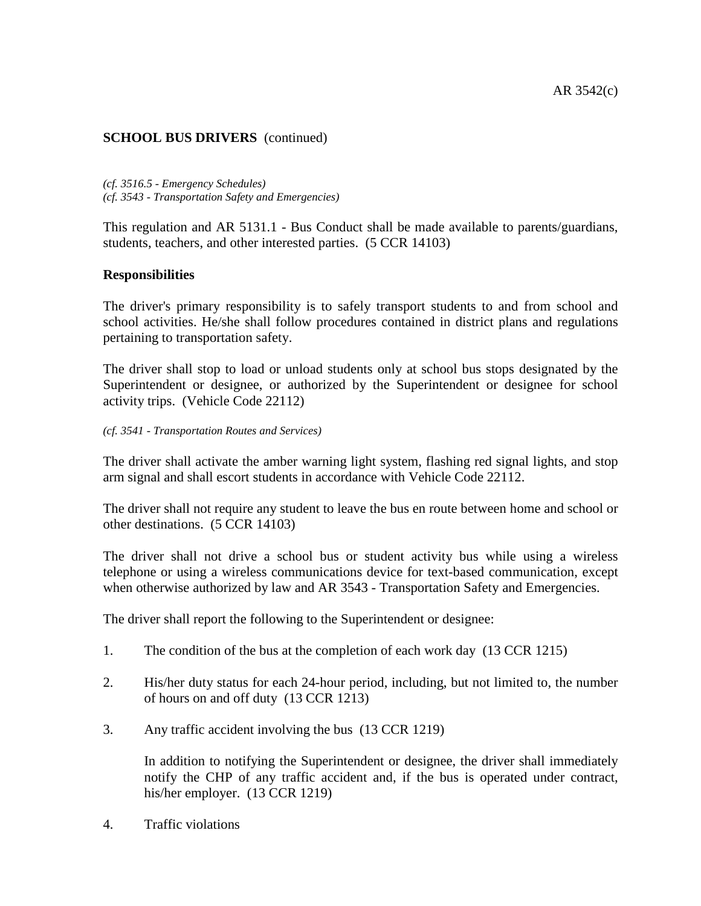*(cf. 3516.5 - Emergency Schedules) (cf. 3543 - Transportation Safety and Emergencies)*

This regulation and AR 5131.1 - Bus Conduct shall be made available to parents/guardians, students, teachers, and other interested parties. (5 CCR 14103)

#### **Responsibilities**

The driver's primary responsibility is to safely transport students to and from school and school activities. He/she shall follow procedures contained in district plans and regulations pertaining to transportation safety.

The driver shall stop to load or unload students only at school bus stops designated by the Superintendent or designee, or authorized by the Superintendent or designee for school activity trips. (Vehicle Code 22112)

*(cf. 3541 - Transportation Routes and Services)*

The driver shall activate the amber warning light system, flashing red signal lights, and stop arm signal and shall escort students in accordance with Vehicle Code 22112.

The driver shall not require any student to leave the bus en route between home and school or other destinations. (5 CCR 14103)

The driver shall not drive a school bus or student activity bus while using a wireless telephone or using a wireless communications device for text-based communication, except when otherwise authorized by law and AR 3543 - Transportation Safety and Emergencies.

The driver shall report the following to the Superintendent or designee:

- 1. The condition of the bus at the completion of each work day (13 CCR 1215)
- 2. His/her duty status for each 24-hour period, including, but not limited to, the number of hours on and off duty (13 CCR 1213)
- 3. Any traffic accident involving the bus (13 CCR 1219)

In addition to notifying the Superintendent or designee, the driver shall immediately notify the CHP of any traffic accident and, if the bus is operated under contract, his/her employer. (13 CCR 1219)

4. Traffic violations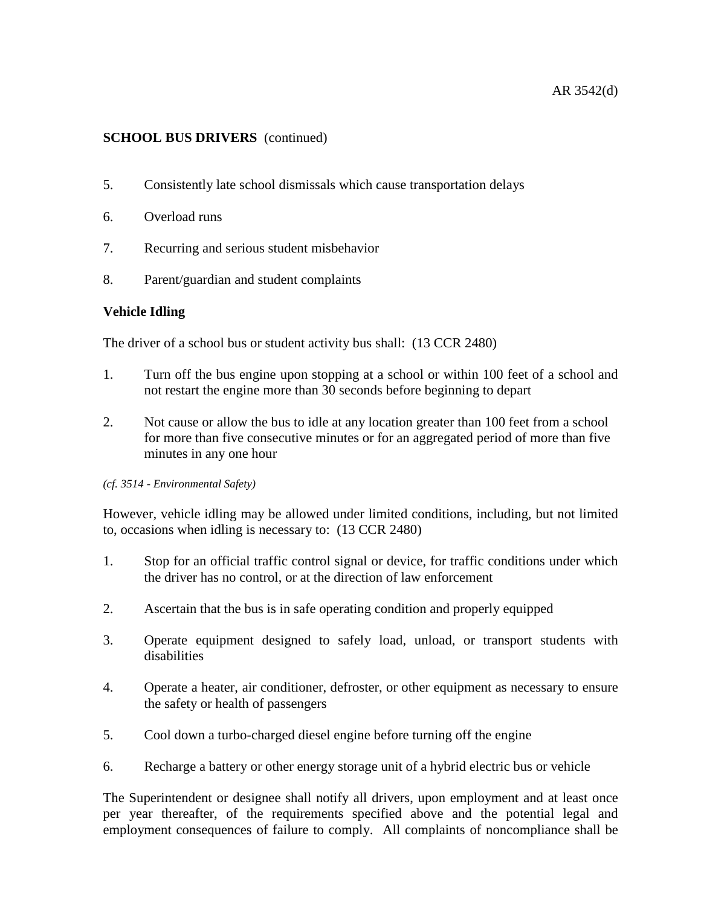## AR 3542(d)

# **SCHOOL BUS DRIVERS** (continued)

- 5. Consistently late school dismissals which cause transportation delays
- 6. Overload runs
- 7. Recurring and serious student misbehavior
- 8. Parent/guardian and student complaints

#### **Vehicle Idling**

The driver of a school bus or student activity bus shall: (13 CCR 2480)

- 1. Turn off the bus engine upon stopping at a school or within 100 feet of a school and not restart the engine more than 30 seconds before beginning to depart
- 2. Not cause or allow the bus to idle at any location greater than 100 feet from a school for more than five consecutive minutes or for an aggregated period of more than five minutes in any one hour

#### *(cf. 3514 - Environmental Safety)*

However, vehicle idling may be allowed under limited conditions, including, but not limited to, occasions when idling is necessary to: (13 CCR 2480)

- 1. Stop for an official traffic control signal or device, for traffic conditions under which the driver has no control, or at the direction of law enforcement
- 2. Ascertain that the bus is in safe operating condition and properly equipped
- 3. Operate equipment designed to safely load, unload, or transport students with disabilities
- 4. Operate a heater, air conditioner, defroster, or other equipment as necessary to ensure the safety or health of passengers
- 5. Cool down a turbo-charged diesel engine before turning off the engine
- 6. Recharge a battery or other energy storage unit of a hybrid electric bus or vehicle

The Superintendent or designee shall notify all drivers, upon employment and at least once per year thereafter, of the requirements specified above and the potential legal and employment consequences of failure to comply. All complaints of noncompliance shall be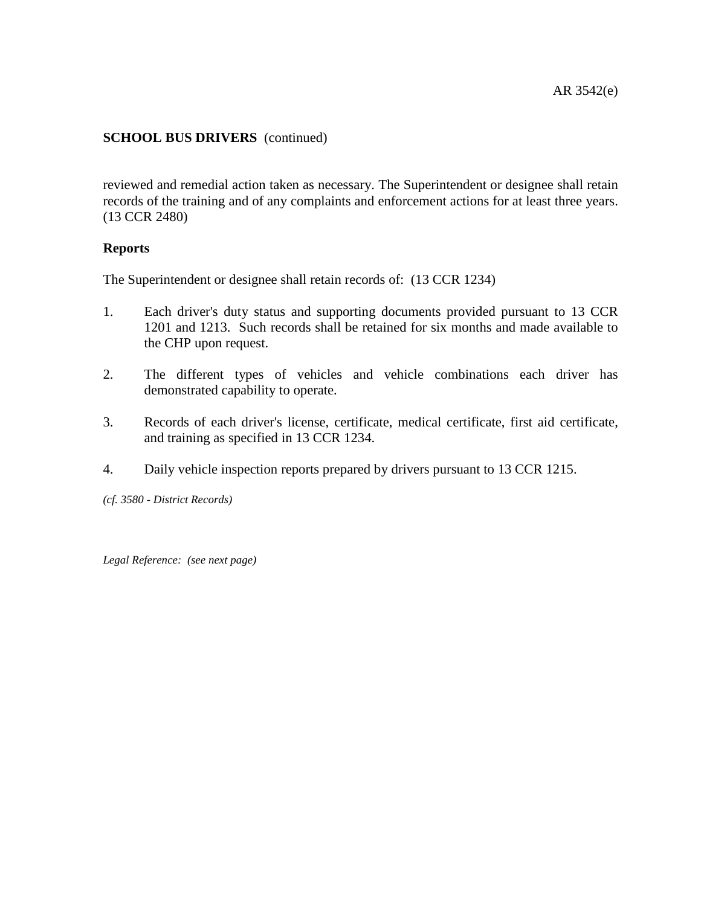reviewed and remedial action taken as necessary. The Superintendent or designee shall retain records of the training and of any complaints and enforcement actions for at least three years. (13 CCR 2480)

## **Reports**

The Superintendent or designee shall retain records of: (13 CCR 1234)

- 1. Each driver's duty status and supporting documents provided pursuant to 13 CCR 1201 and 1213. Such records shall be retained for six months and made available to the CHP upon request.
- 2. The different types of vehicles and vehicle combinations each driver has demonstrated capability to operate.
- 3. Records of each driver's license, certificate, medical certificate, first aid certificate, and training as specified in 13 CCR 1234.
- 4. Daily vehicle inspection reports prepared by drivers pursuant to 13 CCR 1215.

*(cf. 3580 - District Records)*

*Legal Reference: (see next page)*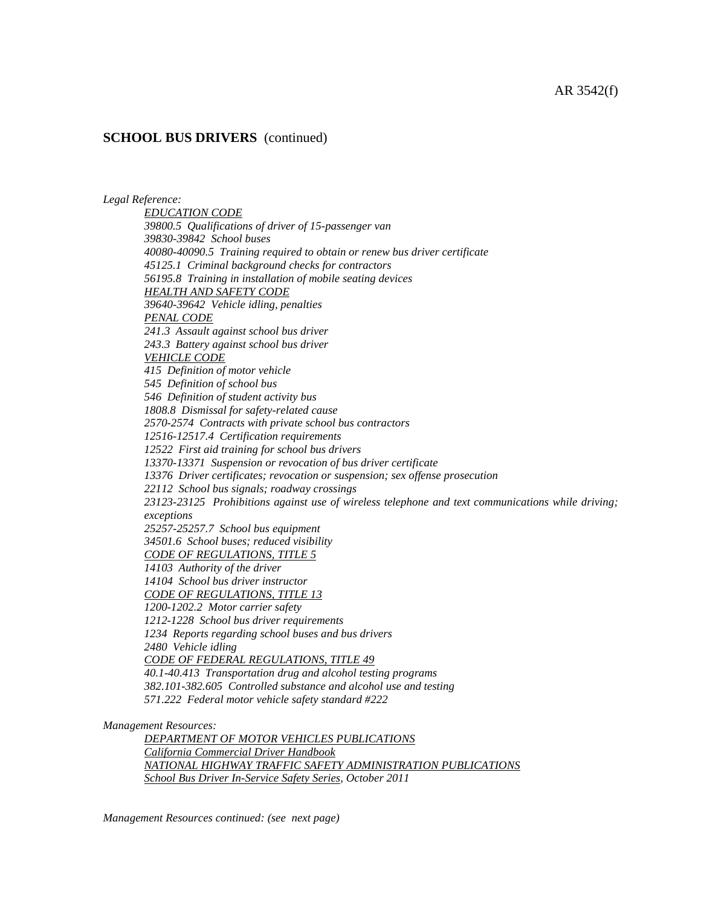#### *Legal Reference:*

*EDUCATION CODE 39800.5 Qualifications of driver of 15-passenger van 39830-39842 School buses 40080-40090.5 Training required to obtain or renew bus driver certificate 45125.1 Criminal background checks for contractors 56195.8 Training in installation of mobile seating devices HEALTH AND SAFETY CODE 39640-39642 Vehicle idling, penalties PENAL CODE 241.3 Assault against school bus driver 243.3 Battery against school bus driver VEHICLE CODE 415 Definition of motor vehicle 545 Definition of school bus 546 Definition of student activity bus 1808.8 Dismissal for safety-related cause 2570-2574 Contracts with private school bus contractors 12516-12517.4 Certification requirements 12522 First aid training for school bus drivers 13370-13371 Suspension or revocation of bus driver certificate 13376 Driver certificates; revocation or suspension; sex offense prosecution 22112 School bus signals; roadway crossings 23123-23125 Prohibitions against use of wireless telephone and text communications while driving; exceptions 25257-25257.7 School bus equipment 34501.6 School buses; reduced visibility CODE OF REGULATIONS, TITLE 5 14103 Authority of the driver 14104 School bus driver instructor CODE OF REGULATIONS, TITLE 13 1200-1202.2 Motor carrier safety 1212-1228 School bus driver requirements 1234 Reports regarding school buses and bus drivers 2480 Vehicle idling CODE OF FEDERAL REGULATIONS, TITLE 49 40.1-40.413 Transportation drug and alcohol testing programs 382.101-382.605 Controlled substance and alcohol use and testing 571.222 Federal motor vehicle safety standard #222*

*Management Resources:*

*DEPARTMENT OF MOTOR VEHICLES PUBLICATIONS California Commercial Driver Handbook NATIONAL HIGHWAY TRAFFIC SAFETY ADMINISTRATION PUBLICATIONS School Bus Driver In-Service Safety Series, October 2011*

*Management Resources continued: (see next page)*